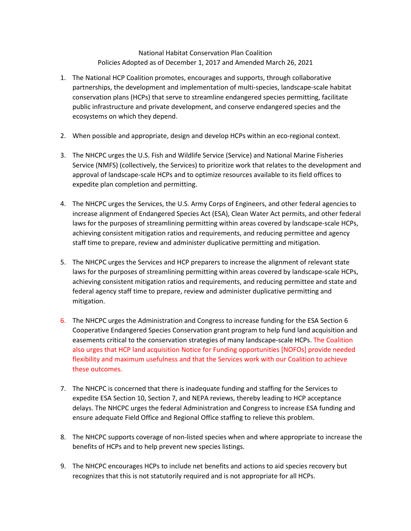## National Habitat Conservation Plan Coalition Policies Adopted as of December 1, 2017 and Amended March 26, 2021

- 1. The National HCP Coalition promotes, encourages and supports, through collaborative partnerships, the development and implementation of multi-species, landscape-scale habitat conservation plans (HCPs) that serve to streamline endangered species permitting, facilitate public infrastructure and private development, and conserve endangered species and the ecosystems on which they depend.
- 2. When possible and appropriate, design and develop HCPs within an eco-regional context.
- 3. The NHCPC urges the U.S. Fish and Wildlife Service (Service) and National Marine Fisheries Service (NMFS) (collectively, the Services) to prioritize work that relates to the development and approval of landscape-scale HCPs and to optimize resources available to its field offices to expedite plan completion and permitting.
- 4. The NHCPC urges the Services, the U.S. Army Corps of Engineers, and other federal agencies to increase alignment of Endangered Species Act (ESA), Clean Water Act permits, and other federal laws for the purposes of streamlining permitting within areas covered by landscape-scale HCPs, achieving consistent mitigation ratios and requirements, and reducing permittee and agency staff time to prepare, review and administer duplicative permitting and mitigation.
- 5. The NHCPC urges the Services and HCP preparers to increase the alignment of relevant state laws for the purposes of streamlining permitting within areas covered by landscape-scale HCPs, achieving consistent mitigation ratios and requirements, and reducing permittee and state and federal agency staff time to prepare, review and administer duplicative permitting and mitigation.
- 6. The NHCPC urges the Administration and Congress to increase funding for the ESA Section 6 Cooperative Endangered Species Conservation grant program to help fund land acquisition and easements critical to the conservation strategies of many landscape-scale HCPs. The Coalition also urges that HCP land acquisition Notice for Funding opportunities [NOFOs] provide needed flexibility and maximum usefulness and that the Services work with our Coalition to achieve these outcomes.
- 7. The NHCPC is concerned that there is inadequate funding and staffing for the Services to expedite ESA Section 10, Section 7, and NEPA reviews, thereby leading to HCP acceptance delays. The NHCPC urges the federal Administration and Congress to increase ESA funding and ensure adequate Field Office and Regional Office staffing to relieve this problem.
- 8. The NHCPC supports coverage of non-listed species when and where appropriate to increase the benefits of HCPs and to help prevent new species listings.
- 9. The NHCPC encourages HCPs to include net benefits and actions to aid species recovery but recognizes that this is not statutorily required and is not appropriate for all HCPs.